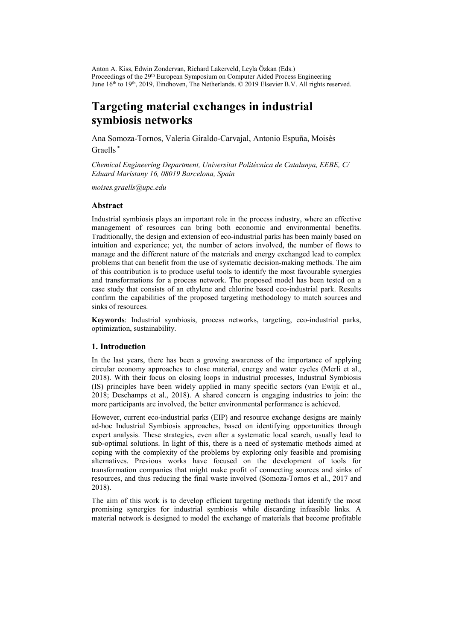Anton A. Kiss, Edwin Zondervan, Richard Lakerveld, Leyla Özkan (Eds.) Proceedings of the 29<sup>th</sup> European Symposium on Computer Aided Process Engineering June 16<sup>th</sup> to 19<sup>th</sup>, 2019, Eindhoven, The Netherlands. © 2019 Elsevier B.V. All rights reserved.

# **Targeting material exchanges in industrial symbiosis networks**

Ana Somoza-Tornos, Valeria Giraldo-Carvajal, Antonio Espuña, Moisès Graells \*

*Chemical Engineering Department, Universitat Politècnica de Catalunya, EEBE, C/ Eduard Maristany 16, 08019 Barcelona, Spain*

*moises.graells@upc.edu*

## **Abstract**

Industrial symbiosis plays an important role in the process industry, where an effective management of resources can bring both economic and environmental benefits. Traditionally, the design and extension of eco-industrial parks has been mainly based on intuition and experience; yet, the number of actors involved, the number of flows to manage and the different nature of the materials and energy exchanged lead to complex problems that can benefit from the use of systematic decision-making methods. The aim of this contribution is to produce useful tools to identify the most favourable synergies and transformations for a process network. The proposed model has been tested on a case study that consists of an ethylene and chlorine based eco-industrial park. Results confirm the capabilities of the proposed targeting methodology to match sources and sinks of resources.

**Keywords**: Industrial symbiosis, process networks, targeting, eco-industrial parks, optimization, sustainability.

#### **1. Introduction**

In the last years, there has been a growing awareness of the importance of applying circular economy approaches to close material, energy and water cycles (Merli et al., 2018). With their focus on closing loops in industrial processes, Industrial Symbiosis (IS) principles have been widely applied in many specific sectors (van Ewijk et al., 2018; Deschamps et al., 2018). A shared concern is engaging industries to join: the more participants are involved, the better environmental performance is achieved.

However, current eco-industrial parks (EIP) and resource exchange designs are mainly ad-hoc Industrial Symbiosis approaches, based on identifying opportunities through expert analysis. These strategies, even after a systematic local search, usually lead to sub-optimal solutions. In light of this, there is a need of systematic methods aimed at coping with the complexity of the problems by exploring only feasible and promising alternatives. Previous works have focused on the development of tools for transformation companies that might make profit of connecting sources and sinks of resources, and thus reducing the final waste involved (Somoza-Tornos et al., 2017 and 2018).

The aim of this work is to develop efficient targeting methods that identify the most promising synergies for industrial symbiosis while discarding infeasible links. A material network is designed to model the exchange of materials that become profitable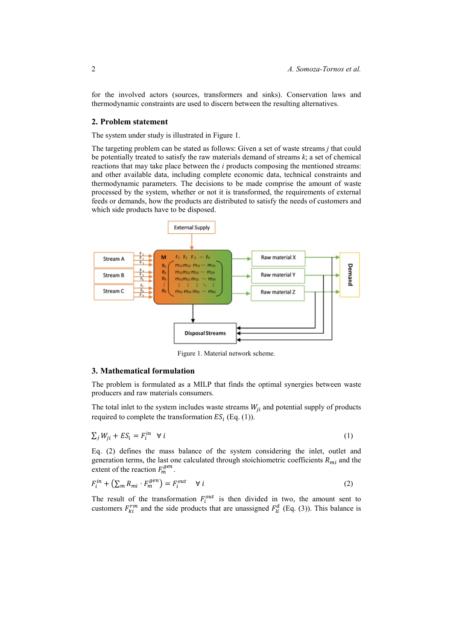for the involved actors (sources, transformers and sinks). Conservation laws and thermodynamic constraints are used to discern between the resulting alternatives.

#### **2. Problem statement**

The system under study is illustrated in [Figure 1.](#page-1-0)

The targeting problem can be stated as follows: Given a set of waste streams *j* that could be potentially treated to satisfy the raw materials demand of streams *k*; a set of chemical reactions that may take place between the *i* products composing the mentioned streams: and other available data, including complete economic data, technical constraints and thermodynamic parameters. The decisions to be made comprise the amount of waste processed by the system, whether or not it is transformed, the requirements of external feeds or demands, how the products are distributed to satisfy the needs of customers and which side products have to be disposed.



<span id="page-1-2"></span><span id="page-1-1"></span>Figure 1. Material network scheme.

#### <span id="page-1-0"></span>**3. Mathematical formulation**

The problem is formulated as a MILP that finds the optimal synergies between waste producers and raw materials consumers.

The total inlet to the system includes waste streams  $W_{ii}$  and potential supply of products required to complete the transformation  $ES_i$  (Eq[. \(1\)\)](#page-1-1).

$$
\sum_{j} W_{ji} + ES_i = F_i^{in} \quad \forall \ i \tag{1}
$$

Eq. [\(2\)](#page-1-2) defines the mass balance of the system considering the inlet, outlet and generation terms, the last one calculated through stoichiometric coefficients  $R_{mi}$  and the extent of the reaction  $F_m^{gen}$ .

$$
F_i^{in} + \left(\sum_m R_{mi} \cdot F_m^{gen}\right) = F_i^{out} \quad \forall \ i \tag{2}
$$

The result of the transformation  $F_i^{out}$  is then divided in two, the amount sent to customers  $F_{ki}^{rm}$  and the side products that are unassigned  $F_{li}^{d}$  (Eq. [\(3\)\)](#page-2-0). This balance is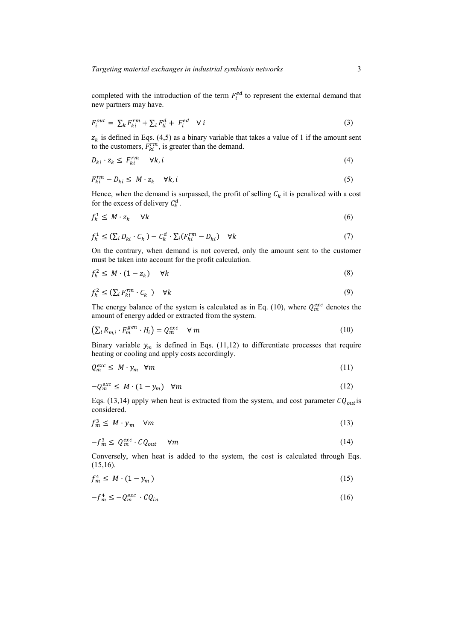completed with the introduction of the term  $F_i^{ed}$  to represent the external demand that new partners may have.

<span id="page-2-0"></span>
$$
F_i^{out} = \sum_k F_{ki}^{rm} + \sum_l F_{li}^d + F_i^{ed} \quad \forall i
$$
\n(3)

 $z_k$  is defined in Eqs. [\(4,](#page-2-1)[5\)](#page-2-2) as a binary variable that takes a value of 1 if the amount sent to the customers,  $F_{ki}^{rm}$ , is greater than the demand.

<span id="page-2-1"></span>
$$
D_{ki} \cdot z_k \leq F_{ki}^{rm} \quad \forall k, i \tag{4}
$$

<span id="page-2-2"></span>
$$
F_{ki}^{rm} - D_{ki} \leq M \cdot z_k \quad \forall k, i
$$
 (5)

Hence, when the demand is surpassed, the profit of selling  $C_k$  it is penalized with a cost for the excess of delivery  $C_k^d$ .

$$
f_k^1 \le M \cdot z_k \quad \forall k \tag{6}
$$

$$
f_k^1 \leq (\sum_i D_{ki} \cdot C_k) - C_k^d \cdot \sum_i (F_{ki}^{rm} - D_{ki}) \quad \forall k
$$
\n<sup>(7)</sup>

On the contrary, when demand is not covered, only the amount sent to the customer must be taken into account for the profit calculation.

$$
f_k^2 \le M \cdot (1 - z_k) \quad \forall k \tag{8}
$$

$$
f_k^2 \le (\sum_i F_{ki}^{rm} \cdot C_k) \quad \forall k
$$
\n<sup>(9)</sup>

The energy balance of the system is calculated as in Eq. [\(10\),](#page-2-3) where  $Q_m^{exc}$  denotes the amount of energy added or extracted from the system.

<span id="page-2-3"></span>
$$
\left(\sum_{i} R_{m,i} \cdot F_m^{gen} \cdot H_i\right) = Q_m^{exc} \quad \forall \ m \tag{10}
$$

Binary variable  $y_m$  is defined in Eqs. [\(11,](#page-2-4)[12\)](#page-2-5) to differentiate processes that require heating or cooling and apply costs accordingly.

<span id="page-2-4"></span>
$$
Q_m^{exc} \le M \cdot y_m \quad \forall m \tag{11}
$$

<span id="page-2-5"></span>
$$
-Q_m^{exc} \le M \cdot (1 - y_m) \quad \forall m \tag{12}
$$

Eqs. [\(13,](#page-2-6)[14\)](#page-2-7) apply when heat is extracted from the system, and cost parameter  $CQ_{out}$  is considered.

<span id="page-2-6"></span>
$$
f_m^3 \le M \cdot y_m \quad \forall m \tag{13}
$$

<span id="page-2-7"></span>
$$
-f_m^3 \le Q_m^{exc} \cdot CQ_{out} \quad \forall m \tag{14}
$$

<span id="page-2-8"></span>Conversely, when heat is added to the system, the cost is calculated through Eqs. [\(15](#page-2-8)[,16\).](#page-2-9)

$$
f_m^4 \le M \cdot (1 - y_m) \tag{15}
$$

<span id="page-2-9"></span>
$$
-f_m^4 \le -Q_m^{exc} \cdot CQ_{in} \tag{16}
$$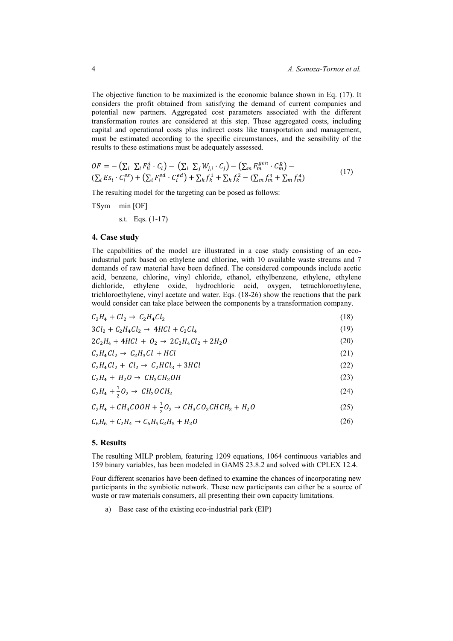The objective function to be maximized is the economic balance shown in Eq. [\(17\).](#page-3-0) It considers the profit obtained from satisfying the demand of current companies and potential new partners. Aggregated cost parameters associated with the different transformation routes are considered at this step. These aggregated costs, including capital and operational costs plus indirect costs like transportation and management, must be estimated according to the specific circumstances, and the sensibility of the results to these estimations must be adequately assessed.

$$
OF = -\left(\sum_{i} \sum_{l} F_{li}^{d} \cdot C_{l}\right) - \left(\sum_{i} \sum_{j} W_{j,i} \cdot C_{j}\right) - \left(\sum_{m} F_{m}^{gen} \cdot C_{m}^{R}\right) - \left(\sum_{i} E_{S_{i}} \cdot C_{i}^{es}\right) + \left(\sum_{i} F_{i}^{ed} \cdot C_{i}^{ed}\right) + \sum_{k} f_{k}^{1} + \sum_{k} f_{k}^{2} - \left(\sum_{m} f_{m}^{3} + \sum_{m} f_{m}^{4}\right)
$$
\n(17)

The resulting model for the targeting can be posed as follows:

TSym min [OF]

<span id="page-3-5"></span><span id="page-3-1"></span><span id="page-3-0"></span>s.t. Eqs[. \(1](#page-1-1)[-17\)](#page-3-0)

#### **4. Case study**

The capabilities of the model are illustrated in a case study consisting of an ecoindustrial park based on ethylene and chlorine, with 10 available waste streams and 7 demands of raw material have been defined. The considered compounds include acetic acid, benzene, chlorine, vinyl chloride, ethanol, ethylbenzene, ethylene, ethylene dichloride, ethylene oxide, hydrochloric acid, oxygen, tetrachloroethylene, trichloroethylene, vinyl acetate and water. Eqs. [\(18-](#page-3-1)[26\)](#page-3-2) show the reactions that the park would consider can take place between the components by a transformation company.

$$
C_2H_4 + Cl_2 \rightarrow C_2H_4Cl_2 \tag{18}
$$

$$
3Cl2 + C2H4Cl2 \rightarrow 4HCl + C2Cl4
$$
\n(19)

$$
2C_2H_4 + 4HCl + O_2 \to 2C_2H_4Cl_2 + 2H_2O \tag{20}
$$

<span id="page-3-3"></span>
$$
C_2H_4Cl_2 \to C_2H_3Cl + HCl \tag{21}
$$

$$
C_2H_4Cl_2 + Cl_2 \rightarrow C_2HCl_3 + 3HCl \tag{22}
$$

$$
C_2H_4 + H_2O \rightarrow CH_3CH_2OH \tag{23}
$$

<span id="page-3-6"></span>
$$
C_2H_4 + \frac{1}{2}O_2 \to CH_2OCH_2 \tag{24}
$$

$$
C_2H_4 + CH_3COOH + \frac{1}{2}O_2 \rightarrow CH_3CO_2CHCH_2 + H_2O \tag{25}
$$

<span id="page-3-4"></span><span id="page-3-2"></span>
$$
C_6H_6 + C_2H_4 \to C_6H_5C_2H_5 + H_2O \tag{26}
$$

#### **5. Results**

The resulting MILP problem, featuring 1209 equations, 1064 continuous variables and 159 binary variables, has been modeled in GAMS 23.8.2 and solved with CPLEX 12.4.

Four different scenarios have been defined to examine the chances of incorporating new participants in the symbiotic network. These new participants can either be a source of waste or raw materials consumers, all presenting their own capacity limitations.

a) Base case of the existing eco-industrial park (EIP)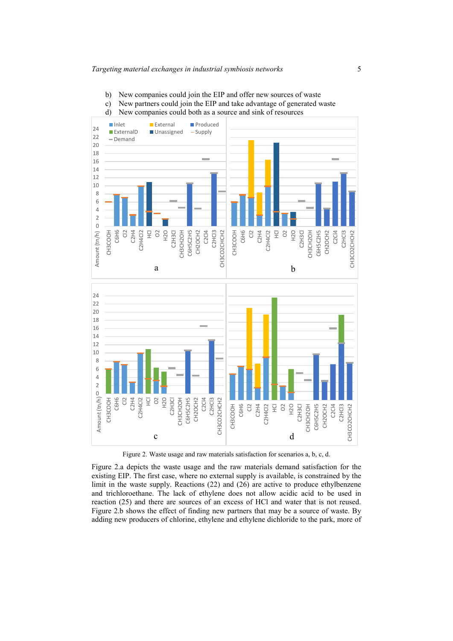- b) New companies could join the EIP and offer new sources of waste
- c) New partners could join the EIP and take advantage of generated waste
- d) New companies could both as a source and sink of resources



Figure 2. Waste usage and raw materials satisfaction for scenarios a, b, c, d.

<span id="page-4-0"></span>[Figure 2.](#page-4-0)a depicts the waste usage and the raw materials demand satisfaction for the existing EIP. The first case, where no external supply is available, is constrained by the limit in the waste supply. Reactions [\(22\)](#page-3-3) and [\(26\)](#page-3-2) are active to produce ethylbenzene and trichloroethane. The lack of ethylene does not allow acidic acid to be used in reaction [\(25\)](#page-3-4) and there are sources of an excess of HCl and water that is not reused. [Figure 2.](#page-4-0)b shows the effect of finding new partners that may be a source of waste. By adding new producers of chlorine, ethylene and ethylene dichloride to the park, more of